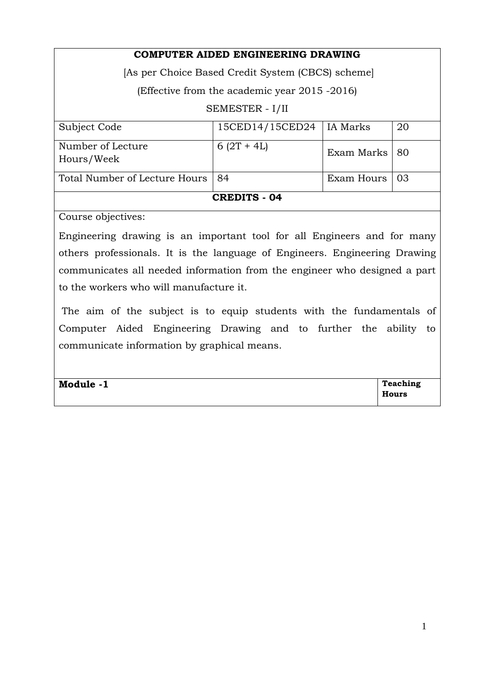| COMPUTER AIDED ENGINEERING DRAWING                |                 |                 |    |  |  |  |  |
|---------------------------------------------------|-----------------|-----------------|----|--|--|--|--|
| [As per Choice Based Credit System (CBCS) scheme] |                 |                 |    |  |  |  |  |
| (Effective from the academic year 2015 -2016)     |                 |                 |    |  |  |  |  |
| SEMESTER - I/II                                   |                 |                 |    |  |  |  |  |
| Subject Code                                      | 15CED14/15CED24 | <b>IA</b> Marks | 20 |  |  |  |  |
| Number of Lecture<br>Hours/Week                   | $6(2T + 4L)$    | Exam Marks      | 80 |  |  |  |  |
| Total Number of Lecture Hours                     | 84              | Exam Hours      | 03 |  |  |  |  |
| <b>CREDITS - 04</b>                               |                 |                 |    |  |  |  |  |
| $\blacksquare$<br>$\sim$                          |                 |                 |    |  |  |  |  |

Course objectives:

Engineering drawing is an important tool for all Engineers and for many others professionals. It is the language of Engineers. Engineering Drawing communicates all needed information from the engineer who designed a part to the workers who will manufacture it.

 The aim of the subject is to equip students with the fundamentals of Computer Aided Engineering Drawing and to further the ability to communicate information by graphical means.

| Module -1 | Teaching |
|-----------|----------|
|           | Hours    |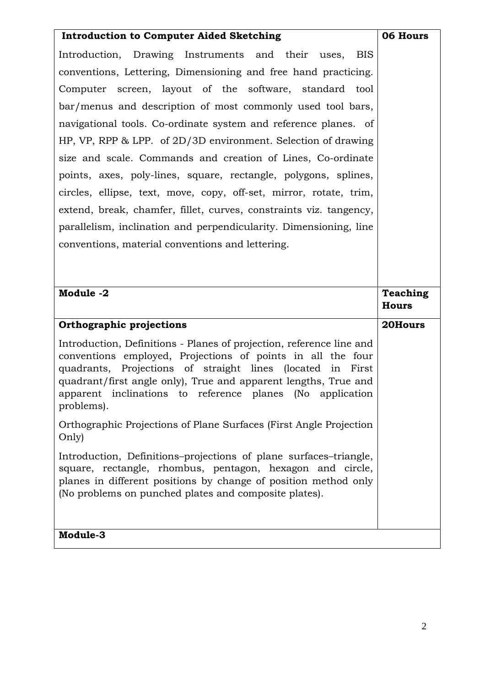| <b>Introduction to Computer Aided Sketching</b>                                                                                                                                                                                                                                                                                                 | 06 Hours                        |
|-------------------------------------------------------------------------------------------------------------------------------------------------------------------------------------------------------------------------------------------------------------------------------------------------------------------------------------------------|---------------------------------|
| Introduction, Drawing Instruments and their uses,<br><b>BIS</b>                                                                                                                                                                                                                                                                                 |                                 |
| conventions, Lettering, Dimensioning and free hand practicing.                                                                                                                                                                                                                                                                                  |                                 |
| Computer screen, layout of the software, standard tool                                                                                                                                                                                                                                                                                          |                                 |
| bar/menus and description of most commonly used tool bars,                                                                                                                                                                                                                                                                                      |                                 |
| navigational tools. Co-ordinate system and reference planes. of                                                                                                                                                                                                                                                                                 |                                 |
| HP, VP, RPP $\&$ LPP. of 2D/3D environment. Selection of drawing                                                                                                                                                                                                                                                                                |                                 |
| size and scale. Commands and creation of Lines, Co-ordinate                                                                                                                                                                                                                                                                                     |                                 |
| points, axes, poly-lines, square, rectangle, polygons, splines,                                                                                                                                                                                                                                                                                 |                                 |
| circles, ellipse, text, move, copy, off-set, mirror, rotate, trim,                                                                                                                                                                                                                                                                              |                                 |
| extend, break, chamfer, fillet, curves, constraints viz. tangency,                                                                                                                                                                                                                                                                              |                                 |
| parallelism, inclination and perpendicularity. Dimensioning, line                                                                                                                                                                                                                                                                               |                                 |
| conventions, material conventions and lettering.                                                                                                                                                                                                                                                                                                |                                 |
|                                                                                                                                                                                                                                                                                                                                                 |                                 |
|                                                                                                                                                                                                                                                                                                                                                 |                                 |
|                                                                                                                                                                                                                                                                                                                                                 |                                 |
| Module -2                                                                                                                                                                                                                                                                                                                                       | <b>Teaching</b><br><b>Hours</b> |
| Orthographic projections                                                                                                                                                                                                                                                                                                                        | 20Hours                         |
| Introduction, Definitions - Planes of projection, reference line and<br>conventions employed, Projections of points in all the four<br>quadrants, Projections of straight lines (located in First<br>quadrant/first angle only), True and apparent lengths, True and<br>apparent inclinations to reference planes (No application<br>problems). |                                 |
| Orthographic Projections of Plane Surfaces (First Angle Projection<br>Only)                                                                                                                                                                                                                                                                     |                                 |
| Introduction, Definitions-projections of plane surfaces-triangle,<br>square, rectangle, rhombus, pentagon, hexagon and circle,<br>planes in different positions by change of position method only<br>(No problems on punched plates and composite plates).                                                                                      |                                 |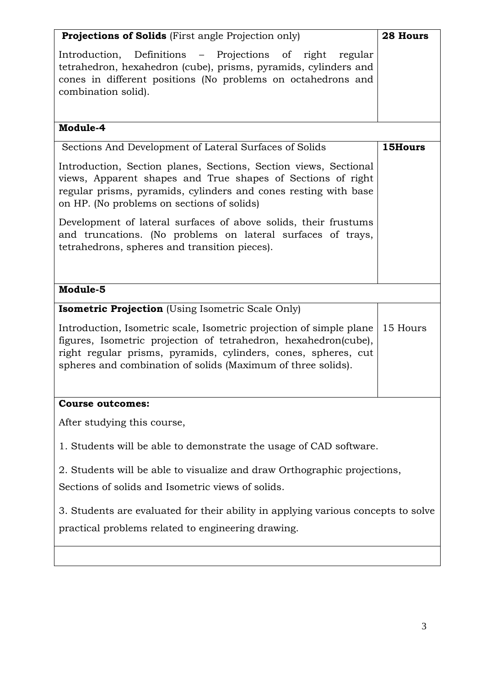| <b>Projections of Solids</b> (First angle Projection only)                                                                                                                                                                                                               | 28 Hours |  |  |  |
|--------------------------------------------------------------------------------------------------------------------------------------------------------------------------------------------------------------------------------------------------------------------------|----------|--|--|--|
| Introduction, Definitions – Projections of right regular<br>tetrahedron, hexahedron (cube), prisms, pyramids, cylinders and<br>cones in different positions (No problems on octahedrons and<br>combination solid).                                                       |          |  |  |  |
| Module-4                                                                                                                                                                                                                                                                 |          |  |  |  |
| Sections And Development of Lateral Surfaces of Solids                                                                                                                                                                                                                   | 15Hours  |  |  |  |
| Introduction, Section planes, Sections, Section views, Sectional<br>views, Apparent shapes and True shapes of Sections of right<br>regular prisms, pyramids, cylinders and cones resting with base<br>on HP. (No problems on sections of solids)                         |          |  |  |  |
| Development of lateral surfaces of above solids, their frustums<br>and truncations. (No problems on lateral surfaces of trays,<br>tetrahedrons, spheres and transition pieces).                                                                                          |          |  |  |  |
| Module-5                                                                                                                                                                                                                                                                 |          |  |  |  |
| <b>Isometric Projection</b> (Using Isometric Scale Only)                                                                                                                                                                                                                 |          |  |  |  |
| Introduction, Isometric scale, Isometric projection of simple plane<br>figures, Isometric projection of tetrahedron, hexahedron(cube),<br>right regular prisms, pyramids, cylinders, cones, spheres, cut<br>spheres and combination of solids (Maximum of three solids). | 15 Hours |  |  |  |
| <b>Course outcomes:</b>                                                                                                                                                                                                                                                  |          |  |  |  |
| After studying this course,                                                                                                                                                                                                                                              |          |  |  |  |
| 1. Students will be able to demonstrate the usage of CAD software.                                                                                                                                                                                                       |          |  |  |  |
| 2. Students will be able to visualize and draw Orthographic projections,<br>Sections of solids and Isometric views of solids.                                                                                                                                            |          |  |  |  |
| 3. Students are evaluated for their ability in applying various concepts to solve<br>practical problems related to engineering drawing.                                                                                                                                  |          |  |  |  |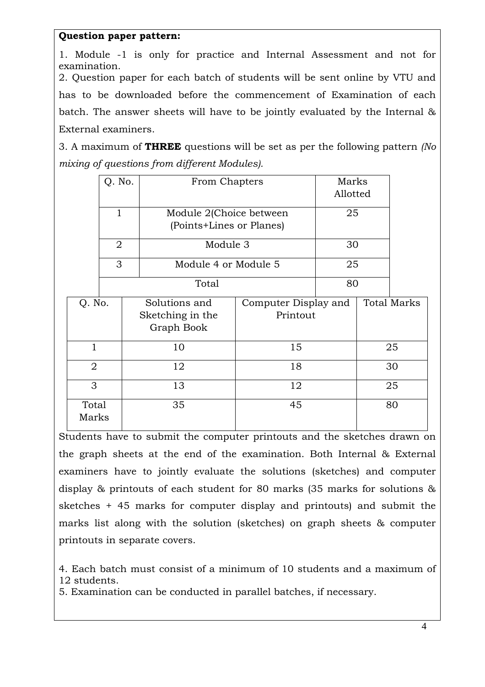## **Question paper pattern:**

1. Module -1 is only for practice and Internal Assessment and not for examination. 2. Question paper for each batch of students will be sent online by VTU and has to be downloaded before the commencement of Examination of each batch. The answer sheets will have to be jointly evaluated by the Internal & External examiners.

3. A maximum of **THREE** questions will be set as per the following pattern *(No mixing of questions from different Modules).* 

|                | Q. No.                    |    | From Chapters            |                      | Marks |  |                    |
|----------------|---------------------------|----|--------------------------|----------------------|-------|--|--------------------|
|                |                           |    |                          | Allotted             |       |  |                    |
|                | $\mathbf{1}$              |    | Module 2(Choice between  |                      | 25    |  |                    |
|                |                           |    | (Points+Lines or Planes) |                      |       |  |                    |
|                | 2                         |    | Module 3                 |                      | 30    |  |                    |
|                | 3<br>Module 4 or Module 5 |    |                          |                      | 25    |  |                    |
|                |                           |    | Total                    |                      | 80    |  |                    |
| Q. No.         |                           |    | Solutions and            | Computer Display and |       |  | <b>Total Marks</b> |
|                |                           |    | Sketching in the         | Printout             |       |  |                    |
|                |                           |    | Graph Book               |                      |       |  |                    |
| $\mathbf{1}$   |                           |    | 10                       | 15                   |       |  | 25                 |
| $\overline{2}$ |                           |    | 12                       | 18                   |       |  | 30                 |
| 3              |                           | 13 | 12                       |                      | 25    |  |                    |
| Total<br>Marks |                           |    | 35                       | 45                   |       |  | 80                 |

Students have to submit the computer printouts and the sketches drawn on the graph sheets at the end of the examination. Both Internal & External examiners have to jointly evaluate the solutions (sketches) and computer display & printouts of each student for 80 marks (35 marks for solutions & sketches + 45 marks for computer display and printouts) and submit the marks list along with the solution (sketches) on graph sheets & computer printouts in separate covers.

4. Each batch must consist of a minimum of 10 students and a maximum of 12 students.

5. Examination can be conducted in parallel batches, if necessary.